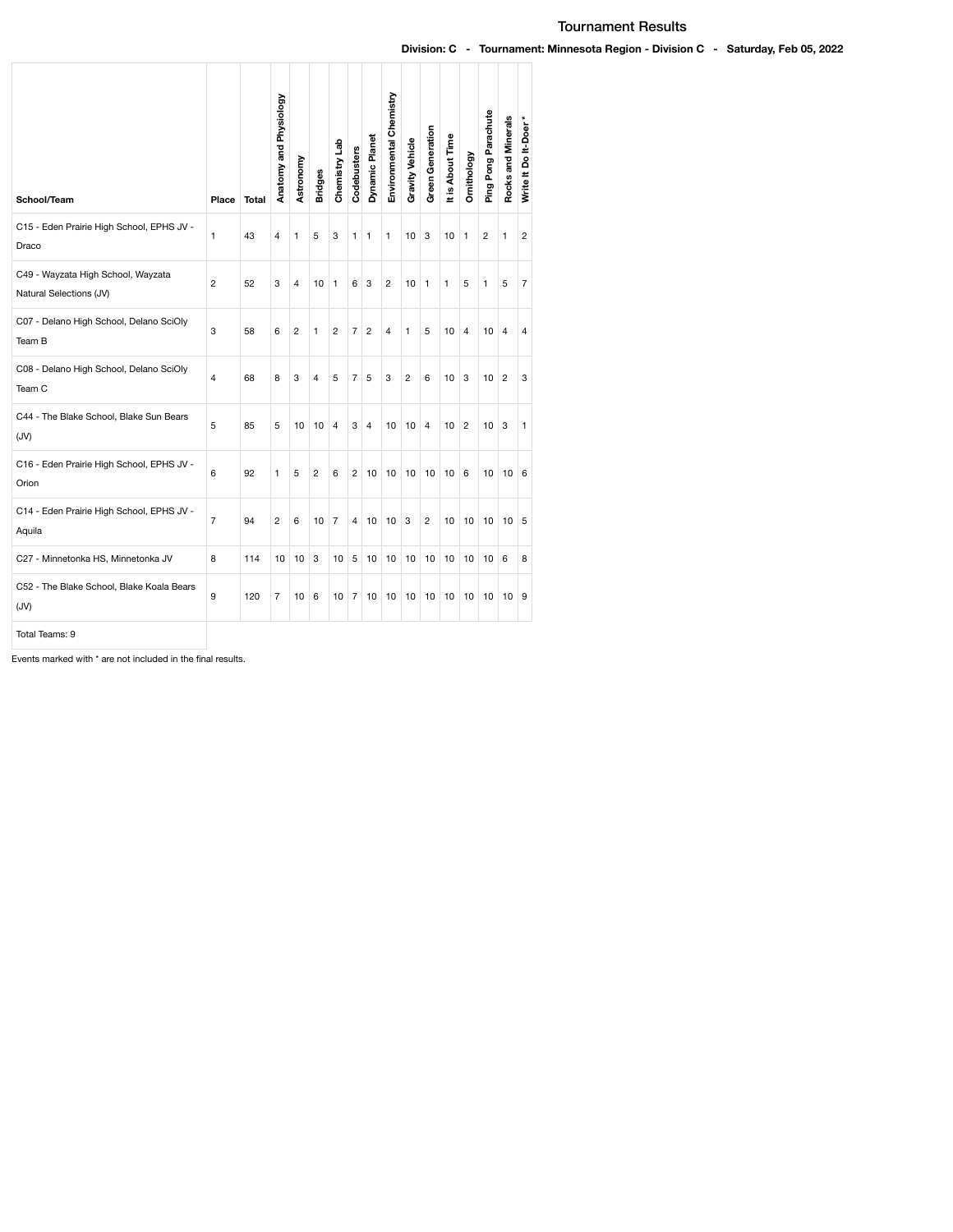## Tournament Results

## Division: C - Tournament: Minnesota Region - Division C - Saturday, Feb 05, 2022

| School/Team                                                   | Place          | <b>Total</b> | Anatomy and Physiology | Astronomy      | <b>Bridges</b> | Chemistry Lab  | Codebusters    | Dynamic Planet | Environmental Chemistry | <b>Gravity Vehicle</b> | Green Generation | It is About Time | Ornithology    | Ping Pong Parachute | Rocks and Minerals | Write It Do It-Doer* |
|---------------------------------------------------------------|----------------|--------------|------------------------|----------------|----------------|----------------|----------------|----------------|-------------------------|------------------------|------------------|------------------|----------------|---------------------|--------------------|----------------------|
| C15 - Eden Prairie High School, EPHS JV -<br>Draco            | 1              | 43           | 4                      | 1              | 5              | 3              | 1              | $\mathbf{1}$   | 1                       | 10                     | 3                | 10               | $\mathbf{1}$   | $\overline{c}$      | 1                  | 2                    |
| C49 - Wayzata High School, Wayzata<br>Natural Selections (JV) | $\overline{2}$ | 52           | 3                      | $\overline{4}$ | 10             | $\mathbf{1}$   | 6              | 3              | $\overline{2}$          | 10                     | 1                | 1                | 5              | 1                   | 5                  | $\overline{7}$       |
| C07 - Delano High School, Delano SciOly<br>Team B             | 3              | 58           | 6                      | 2              | 1              | 2              | 7              | $\overline{2}$ | $\overline{4}$          | 1                      | 5                | 10               | 4              | 10                  | $\overline{4}$     | 4                    |
| C08 - Delano High School, Delano SciOly<br>Team C             | $\overline{4}$ | 68           | 8                      | 3              | 4              | 5              | $\overline{7}$ | 5              | 3                       | $\overline{2}$         | 6                | 10               | 3              | 10                  | $\overline{2}$     | 3                    |
| C44 - The Blake School, Blake Sun Bears<br>(JV)               | 5              | 85           | 5                      | 10             | 10             | $\overline{4}$ | 3              | $\overline{4}$ | 10                      | 10                     | $\overline{4}$   | 10               | $\overline{2}$ | 10                  | 3                  | 1                    |
| C16 - Eden Prairie High School, EPHS JV -<br>Orion            | 6              | 92           | 1                      | 5              | 2              | 6              | 2              | 10             | 10                      | 10                     | 10               | 10               | 6              | 10                  | 10                 | 6                    |
| C14 - Eden Prairie High School, EPHS JV -<br>Aquila           | $\overline{7}$ | 94           | $\overline{2}$         | 6              | 10             | $\overline{7}$ | 4              | 10             | 10                      | 3                      | 2                | 10               | 10             | 10                  | 10                 | 5                    |
| C27 - Minnetonka HS, Minnetonka JV                            | 8              | 114          | 10                     | 10             | 3              | 10             | 5              | 10             | 10                      | 10                     | 10               | 10               | 10             | 10                  | 6                  | 8                    |
| C52 - The Blake School, Blake Koala Bears<br>(JV)             | 9              | 120          | $\overline{7}$         | 10             | 6              | 10             | 7              | 10             | 10                      | 10                     | 10               | 10               | 10             | 10                  | 10                 | 9                    |
| Total Teams: 9                                                |                |              |                        |                |                |                |                |                |                         |                        |                  |                  |                |                     |                    |                      |

Events marked with \* are not included in the final results.